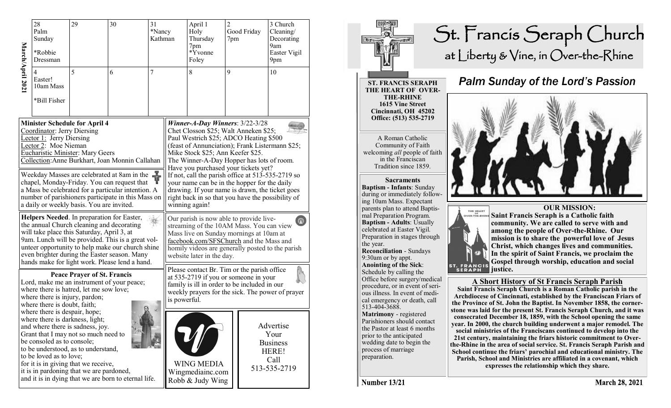|                                                                                                                                                                                                                                                                                                                                                  | 28<br>Palm<br>Sunday<br>*Robbie<br>Dressman                                                                                                                                                                                                                                                                                                                                                                                                   | 29 | 30 | 31<br>*Nancy<br>Kathman                                                                                                                                                                                                                                                                         |  | April 1<br>Holy<br>Thursday<br>7pm<br>*Yvonne<br>Foley    | $\overline{2}$<br>7pm | Good Friday                                           | 3 Church<br>Cleaning/<br>Decorating<br>9am<br>Easter Vigil<br>9pm |
|--------------------------------------------------------------------------------------------------------------------------------------------------------------------------------------------------------------------------------------------------------------------------------------------------------------------------------------------------|-----------------------------------------------------------------------------------------------------------------------------------------------------------------------------------------------------------------------------------------------------------------------------------------------------------------------------------------------------------------------------------------------------------------------------------------------|----|----|-------------------------------------------------------------------------------------------------------------------------------------------------------------------------------------------------------------------------------------------------------------------------------------------------|--|-----------------------------------------------------------|-----------------------|-------------------------------------------------------|-------------------------------------------------------------------|
| March/April 2021                                                                                                                                                                                                                                                                                                                                 | 4<br>Easter!<br>10am Mass<br>*Bill Fisher                                                                                                                                                                                                                                                                                                                                                                                                     | 5  | 6  | 7                                                                                                                                                                                                                                                                                               |  | 8                                                         | 9                     |                                                       | 10                                                                |
| <b>Minister Schedule for April 4</b><br>Coordinator: Jerry Diersing<br><b>Lector 1:</b> Jerry Diersing<br>Lector 2: Moe Nieman<br><b>Eucharistic Minister: Mary Geers</b><br>Collection: Anne Burkhart, Joan Monnin Callahan                                                                                                                     |                                                                                                                                                                                                                                                                                                                                                                                                                                               |    |    | Winner-A-Day Winners: 3/22-3/28<br>Chet Closson \$25; Walt Anneken \$25;<br>Paul Westrich \$25; ADCO Heating \$500<br>(feast of Annunciation); Frank Listermann \$25;<br>Mike Stock \$25; Ann Keefer \$25.<br>The Winner-A-Day Hopper has lots of room.<br>Have you purchased your tickets yet? |  |                                                           |                       |                                                       |                                                                   |
| Weekday Masses are celebrated at 8am in the<br>chapel, Monday-Friday. You can request that<br>a Mass be celebrated for a particular intention. A<br>number of parishioners participate in this Mass on<br>a daily or weekly basis. You are invited.                                                                                              |                                                                                                                                                                                                                                                                                                                                                                                                                                               |    |    | If not, call the parish office at 513-535-2719 so<br>your name can be in the hopper for the daily<br>drawing. If your name is drawn, the ticket goes<br>right back in so that you have the possibility of<br>winning again!                                                                     |  |                                                           |                       |                                                       |                                                                   |
| Helpers Needed. In preparation for Easter,<br>the annual Church cleaning and decorating<br>will take place this Saturday, April 3, at<br>9am. Lunch will be provided. This is a great vol-<br>unteer opportunity to help make our church shine<br>even brighter during the Easter season. Many<br>hands make for light work. Please lend a hand. |                                                                                                                                                                                                                                                                                                                                                                                                                                               |    |    | Our parish is now able to provide live-<br>$\left( \text{r} \right)$<br>streaming of the 10AM Mass. You can view<br>Mass live on Sunday mornings at 10am at<br>facebook.com/SFSChurch and the Mass and<br>homily videos are generally posted to the parish<br>website later in the day.         |  |                                                           |                       |                                                       |                                                                   |
|                                                                                                                                                                                                                                                                                                                                                  | <b>Peace Prayer of St. Francis</b><br>Lord, make me an instrument of your peace;<br>where there is hatred, let me sow love;<br>where there is injury, pardon;<br>where there is doubt, faith;<br>where there is despair, hope;<br>where there is darkness, light;<br>and where there is sadness, joy.<br>Grant that I may not so much need to<br>be consoled as to console;<br>to be understood, as to understand,<br>to be loved as to love; |    |    | Please contact Br. Tim or the parish office<br>at 535-2719 if you or someone in your<br>family is ill in order to be included in our<br>weekly prayers for the sick. The power of prayer<br>is powerful.                                                                                        |  |                                                           |                       |                                                       |                                                                   |
|                                                                                                                                                                                                                                                                                                                                                  |                                                                                                                                                                                                                                                                                                                                                                                                                                               |    |    |                                                                                                                                                                                                                                                                                                 |  |                                                           |                       | Advertise<br>Your<br><b>Business</b><br>HERE!<br>Call |                                                                   |
|                                                                                                                                                                                                                                                                                                                                                  | for it is in giving that we receive,<br>it is in pardoning that we are pardoned,<br>and it is in dying that we are born to eternal life.                                                                                                                                                                                                                                                                                                      |    |    |                                                                                                                                                                                                                                                                                                 |  | <b>WING MEDIA</b><br>Wingmediainc.com<br>Robb & Judy Wing |                       |                                                       | 513-535-2719                                                      |